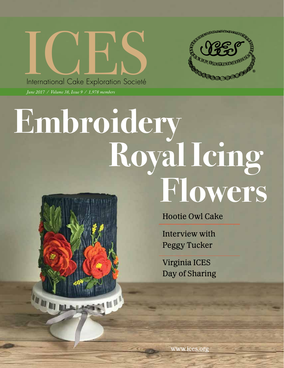

*June 2017 / Volume 38, Issue 9 / 1,978 members*

IN BL



# **Embroidery Royal Icing Flowers**

Hootie Owl Cake

Interview with Peggy Tucker

Virginia ICES Day of Sharing

www.ices.org

June 2017 / ICES Newsletter 1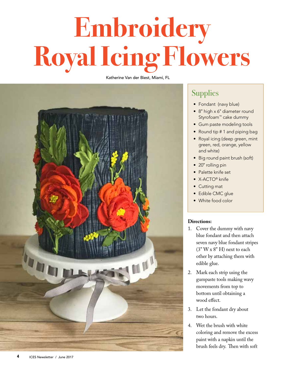## **Embroidery Royal Icing Flowers**

Katherine Van der Biest, Miami, FL



### **Supplies**

- Fondant (navy blue)
- 8" high x 6" diameter round Styrofoam™ cake dummy
- Gum paste modeling tools
- Round tip # 1 and piping bag
- Royal icing (deep green, mint green, red, orange, yellow and white)
- Big round paint brush (soft)
- 20" rolling pin
- Palette knife set
- X-ACTO® knife
- Cutting mat
- Edible CMC glue
- White food color

#### **Directions:**

- 1. Cover the dummy with navy blue fondant and then attach seven navy blue fondant stripes (3" W x 8" H) next to each other by attaching them with edible glue.
- 2. Mark each strip using the gumpaste tools making wavy movements from top to bottom until obtaining a wood effect.
- 3. Let the fondant dry about two hours.
- 4. Wet the brush with white coloring and remove the excess paint with a napkin until the brush feels dry. Then with soft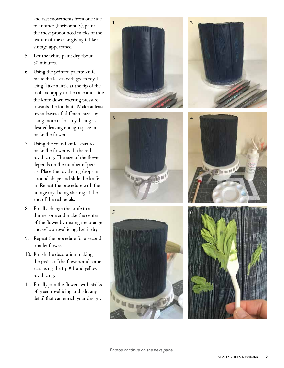and fast movements from one side to another (horizontally), paint the most pronounced marks of the texture of the cake giving it like a vintage appearance.

- 5. Let the white paint dry about 30 minutes.
- 6. Using the pointed palette knife, make the leaves with green royal icing. Take a little at the tip of the tool and apply to the cake and slide the knife down exerting pressure towards the fondant. Make at least seven leaves of different sizes by using more or less royal icing as desired leaving enough space to make the flower.
- 7. Using the round knife, start to make the flower with the red royal icing. The size of the flower depends on the number of pet als. Place the royal icing drops in a round shape and slide the knife in. Repeat the procedure with the orange royal icing starting at the end of the red petals.
- 8. Finally change the knife to a thinner one and make the center of the flower by mixing the orange and yellow royal icing. Let it dry.
- 9. Repeat the procedure for a second smaller flower.
- 10. Finish the decoration making the pistils of the flowers and some ears using the tip # 1 and yellow royal icing.
- 11. Finally join the flowers with stalks of green royal icing and add any detail that can enrich your design.